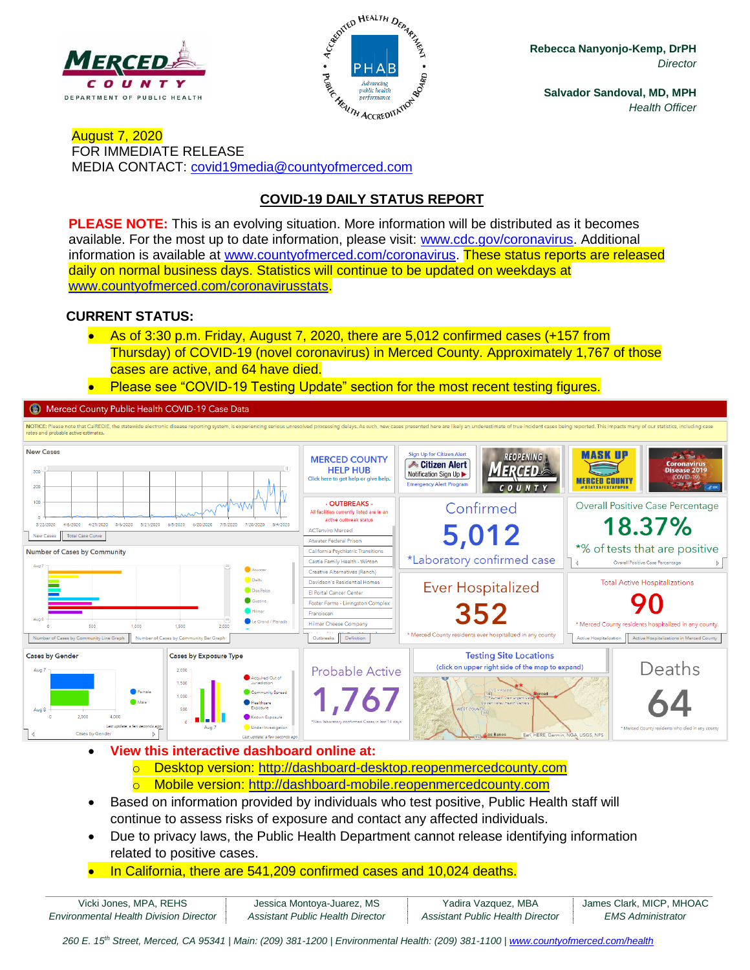



**Rebecca Nanyonjo-Kemp, DrPH** *Director*

**Salvador Sandoval, MD, MPH** *Health Officer*

August 7, 2020 FOR IMMEDIATE RELEASE MEDIA CONTACT: [covid19media@countyofmerced.com](mailto:covid19media@countyofmerced.com)

## **COVID-19 DAILY STATUS REPORT**

**PLEASE NOTE:** This is an evolving situation. More information will be distributed as it becomes available. For the most up to date information, please visit: [www.cdc.gov/coronavirus.](http://www.cdc.gov/coronavirus) Additional information is available at [www.countyofmerced.com/coronavirus.](http://www.countyofmerced.com/coronavirus) These status reports are released daily on normal business days. Statistics will continue to be updated on weekdays at [www.countyofmerced.com/coronavirusstats.](http://www.countyofmerced.com/coronavirusstats)

#### **CURRENT STATUS:**

- As of 3:30 p.m. Friday, August 7, 2020, there are 5,012 confirmed cases (+157 from Thursday) of COVID-19 (novel coronavirus) in Merced County. Approximately 1,767 of those cases are active, and 64 have died.
- Please see "COVID-19 Testing Update" section for the most recent testing figures.

Merced County Public Health COVID-19 Case Data



• **View this interactive dashboard online at:**

- o Desktop version: [http://dashboard-desktop.reopenmercedcounty.com](http://dashboard-desktop.reopenmercedcounty.com/)
- o Mobile version: [http://dashboard-mobile.reopenmercedcounty.com](http://dashboard-mobile.reopenmercedcounty.com/)
- Based on information provided by individuals who test positive, Public Health staff will continue to assess risks of exposure and contact any affected individuals.
- Due to privacy laws, the Public Health Department cannot release identifying information related to positive cases.
- In California, there are 541,209 confirmed cases and 10,024 deaths.

| Vicki Jones, MPA, REHS                        | Jessica Montoya-Juarez, MS       | Yadira Vazquez, MBA              | James Clark, MICP, MHOAC |
|-----------------------------------------------|----------------------------------|----------------------------------|--------------------------|
| <b>Environmental Health Division Director</b> | Assistant Public Health Director | Assistant Public Health Director | EMS Administrator        |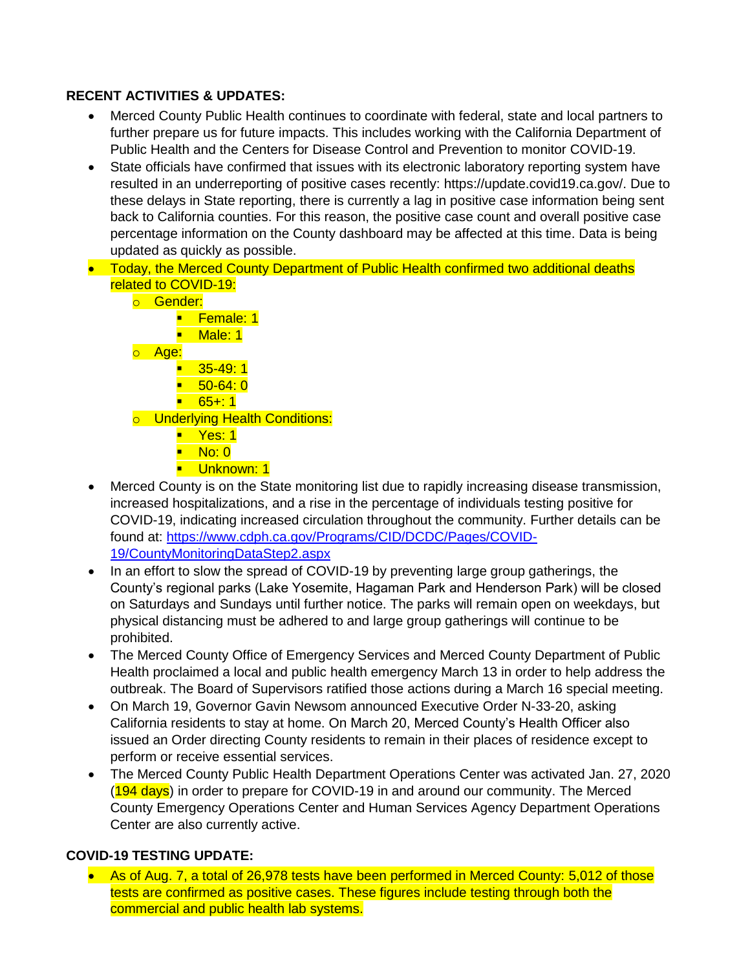#### **RECENT ACTIVITIES & UPDATES:**

- Merced County Public Health continues to coordinate with federal, state and local partners to further prepare us for future impacts. This includes working with the California Department of Public Health and the Centers for Disease Control and Prevention to monitor COVID-19.
- State officials have confirmed that issues with its electronic laboratory reporting system have resulted in an underreporting of positive cases recently: https://update.covid19.ca.gov/. Due to these delays in State reporting, there is currently a lag in positive case information being sent back to California counties. For this reason, the positive case count and overall positive case percentage information on the County dashboard may be affected at this time. Data is being updated as quickly as possible.
- Today, the Merced County Department of Public Health confirmed two additional deaths related to COVID-19:
	- o **Gender:** 
		- Female: 1
		- Male: 1
	- o Age:
		- $\blacksquare$  35-49:1
		- $\blacksquare$  50-64: 0
		- $\blacksquare$  65+: 1
	- o Underlying Health Conditions:
		- Yes: 1
		- No: 0
		- Unknown: 1
- Merced County is on the State monitoring list due to rapidly increasing disease transmission, increased hospitalizations, and a rise in the percentage of individuals testing positive for COVID-19, indicating increased circulation throughout the community. Further details can be found at: [https://www.cdph.ca.gov/Programs/CID/DCDC/Pages/COVID-](https://www.cdph.ca.gov/Programs/CID/DCDC/Pages/COVID-19/CountyMonitoringDataStep2.aspx)[19/CountyMonitoringDataStep2.aspx](https://www.cdph.ca.gov/Programs/CID/DCDC/Pages/COVID-19/CountyMonitoringDataStep2.aspx)
- In an effort to slow the spread of COVID-19 by preventing large group gatherings, the County's regional parks (Lake Yosemite, Hagaman Park and Henderson Park) will be closed on Saturdays and Sundays until further notice. The parks will remain open on weekdays, but physical distancing must be adhered to and large group gatherings will continue to be prohibited.
- The Merced County Office of Emergency Services and Merced County Department of Public Health proclaimed a local and public health emergency March 13 in order to help address the outbreak. The Board of Supervisors ratified those actions during a March 16 special meeting.
- On March 19, Governor Gavin Newsom announced Executive Order N-33-20, asking California residents to stay at home. On March 20, Merced County's Health Officer also issued an Order directing County residents to remain in their places of residence except to perform or receive essential services.
- The Merced County Public Health Department Operations Center was activated Jan. 27, 2020 (194 days) in order to prepare for COVID-19 in and around our community. The Merced County Emergency Operations Center and Human Services Agency Department Operations Center are also currently active.

### **COVID-19 TESTING UPDATE:**

• As of Aug. 7, a total of 26,978 tests have been performed in Merced County: 5,012 of those tests are confirmed as positive cases. These figures include testing through both the commercial and public health lab systems.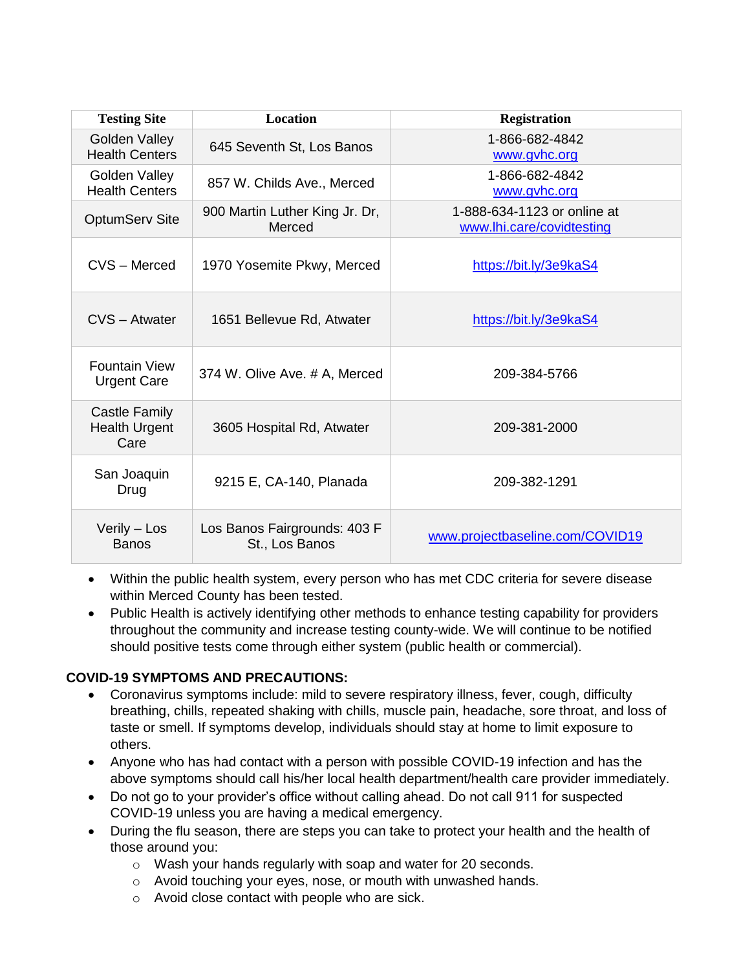| <b>Testing Site</b>                           | <b>Location</b>                                | <b>Registration</b>                                      |
|-----------------------------------------------|------------------------------------------------|----------------------------------------------------------|
| Golden Valley<br><b>Health Centers</b>        | 645 Seventh St, Los Banos                      | 1-866-682-4842<br>www.gvhc.org                           |
| Golden Valley<br><b>Health Centers</b>        | 857 W. Childs Ave., Merced                     | 1-866-682-4842<br>www.gvhc.org                           |
| <b>OptumServ Site</b>                         | 900 Martin Luther King Jr. Dr,<br>Merced       | 1-888-634-1123 or online at<br>www.lhi.care/covidtesting |
| CVS - Merced                                  | 1970 Yosemite Pkwy, Merced                     | https://bit.ly/3e9kaS4                                   |
| CVS - Atwater                                 | 1651 Bellevue Rd, Atwater                      | https://bit.ly/3e9kaS4                                   |
| <b>Fountain View</b><br><b>Urgent Care</b>    | 374 W. Olive Ave. # A, Merced                  | 209-384-5766                                             |
| Castle Family<br><b>Health Urgent</b><br>Care | 3605 Hospital Rd, Atwater                      | 209-381-2000                                             |
| San Joaquin<br>Drug                           | 9215 E, CA-140, Planada                        | 209-382-1291                                             |
| Verily - Los<br><b>Banos</b>                  | Los Banos Fairgrounds: 403 F<br>St., Los Banos | www.projectbaseline.com/COVID19                          |

- Within the public health system, every person who has met CDC criteria for severe disease within Merced County has been tested.
- Public Health is actively identifying other methods to enhance testing capability for providers throughout the community and increase testing county-wide. We will continue to be notified should positive tests come through either system (public health or commercial).

### **COVID-19 SYMPTOMS AND PRECAUTIONS:**

- Coronavirus symptoms include: mild to severe respiratory illness, fever, cough, difficulty breathing, chills, repeated shaking with chills, muscle pain, headache, sore throat, and loss of taste or smell. If symptoms develop, individuals should stay at home to limit exposure to others.
- Anyone who has had contact with a person with possible COVID-19 infection and has the above symptoms should call his/her local health department/health care provider immediately.
- Do not go to your provider's office without calling ahead. Do not call 911 for suspected COVID-19 unless you are having a medical emergency.
- During the flu season, there are steps you can take to protect your health and the health of those around you:
	- o Wash your hands regularly with soap and water for 20 seconds.
	- o Avoid touching your eyes, nose, or mouth with unwashed hands.
	- o Avoid close contact with people who are sick.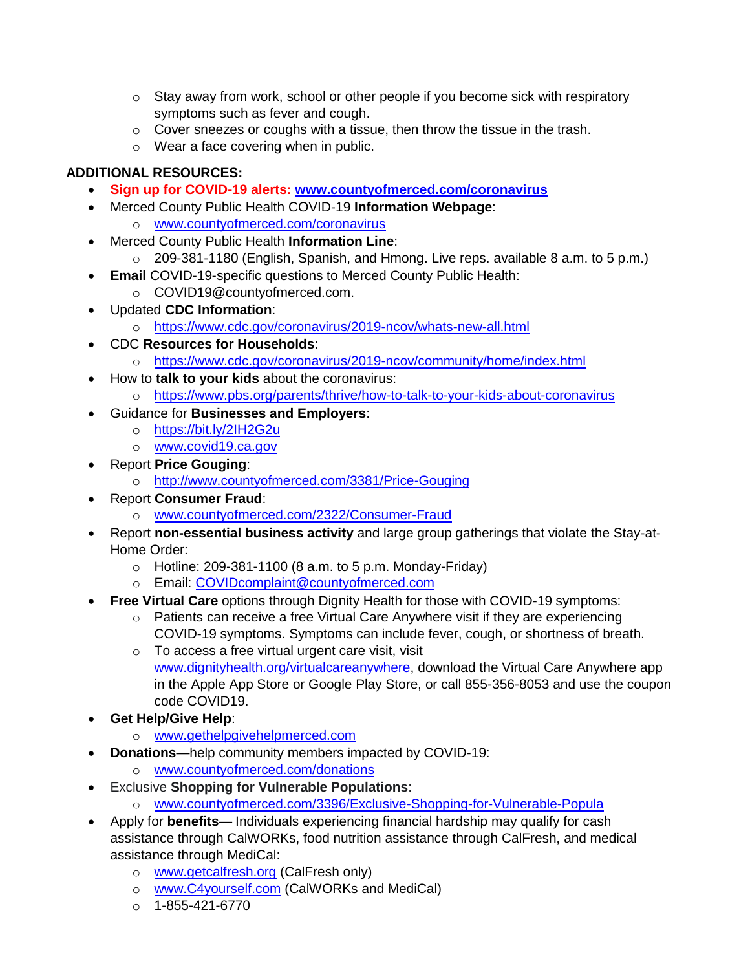- $\circ$  Stay away from work, school or other people if you become sick with respiratory symptoms such as fever and cough.
- $\circ$  Cover sneezes or coughs with a tissue, then throw the tissue in the trash.
- o Wear a face covering when in public.

# **ADDITIONAL RESOURCES:**

- **Sign up for COVID-19 alerts: [www.countyofmerced.com/coronavirus](http://www.countyofmerced.com/coronavirus)**
- Merced County Public Health COVID-19 **Information Webpage**:
	- o [www.countyofmerced.com/coronavirus](http://www.countyofmerced.com/coronavirus)
- Merced County Public Health **Information Line**:
- o 209-381-1180 (English, Spanish, and Hmong. Live reps. available 8 a.m. to 5 p.m.)
- **Email COVID-19-specific questions to Merced County Public Health:** 
	- o COVID19@countyofmerced.com.
- Updated **CDC Information**:
	- o <https://www.cdc.gov/coronavirus/2019-ncov/whats-new-all.html>
- CDC **Resources for Households**:
	- o <https://www.cdc.gov/coronavirus/2019-ncov/community/home/index.html>
- How to **talk to your kids** about the coronavirus:
	- o <https://www.pbs.org/parents/thrive/how-to-talk-to-your-kids-about-coronavirus>
- Guidance for **Businesses and Employers**:
	- o <https://bit.ly/2IH2G2u>
	- o [www.covid19.ca.gov](http://www.covid19.ca.gov/)
- Report **Price Gouging**:
	- o <http://www.countyofmerced.com/3381/Price-Gouging>
- Report **Consumer Fraud**:
	- o [www.countyofmerced.com/2322/Consumer-Fraud](http://www.countyofmerced.com/2322/Consumer-Fraud)
- Report **non-essential business activity** and large group gatherings that violate the Stay-at-Home Order:
	- $\circ$  Hotline: 209-381-1100 (8 a.m. to 5 p.m. Monday-Friday)
	- o Email: [COVIDcomplaint@countyofmerced.com](mailto:COVIDcomplaint@countyofmerced.com)
	- **Free Virtual Care** options through Dignity Health for those with COVID-19 symptoms:
		- o Patients can receive a free Virtual Care Anywhere visit if they are experiencing COVID-19 symptoms. Symptoms can include fever, cough, or shortness of breath.
		- o To access a free virtual urgent care visit, visit [www.dignityhealth.org/virtualcareanywhere,](http://www.dignityhealth.org/virtualcareanywhere) download the Virtual Care Anywhere app in the Apple App Store or Google Play Store, or call 855-356-8053 and use the coupon code COVID19.
- **Get Help/Give Help**:
	- o [www.gethelpgivehelpmerced.com](http://www.gethelpgivehelpmerced.com/)
- **Donations**—help community members impacted by COVID-19:
	- o [www.countyofmerced.com/donations](http://www.countyofmerced.com/donations)
- Exclusive **Shopping for Vulnerable Populations**:
	- o [www.countyofmerced.com/3396/Exclusive-Shopping-for-Vulnerable-Popula](http://www.countyofmerced.com/3396/Exclusive-Shopping-for-Vulnerable-Popula)
- Apply for **benefits** Individuals experiencing financial hardship may qualify for cash assistance through CalWORKs, food nutrition assistance through CalFresh, and medical assistance through MediCal:
	- o [www.getcalfresh.org](http://www.getcalfresh.org/) (CalFresh only)
	- o [www.C4yourself.com](http://www.c4yourself.com/) (CalWORKs and MediCal)
	- $O$  1-855-421-6770